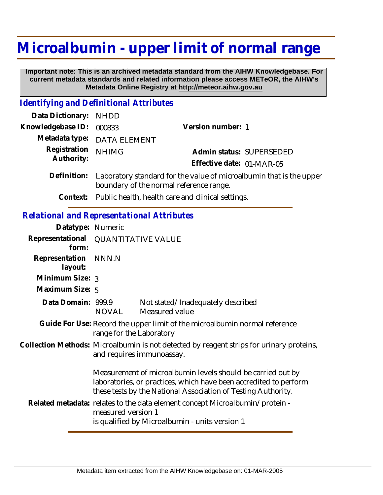## **Microalbumin - upper limit of normal range**

 **Important note: This is an archived metadata standard from the AIHW Knowledgebase. For current metadata standards and related information please access METeOR, the AIHW's Metadata Online Registry at http://meteor.aihw.gov.au**

## *Identifying and Definitional Attributes*

| Data Dictionary:                                  | <b>NHDD</b>                                                                                                                                                                                       |                                                                                                                                |
|---------------------------------------------------|---------------------------------------------------------------------------------------------------------------------------------------------------------------------------------------------------|--------------------------------------------------------------------------------------------------------------------------------|
| Knowledgebase ID:                                 | 000833                                                                                                                                                                                            | Version number: 1                                                                                                              |
| Metadata type:                                    | <b>DATA ELEMENT</b>                                                                                                                                                                               |                                                                                                                                |
| Registration<br>Authority:                        | <b>NHIMG</b>                                                                                                                                                                                      | Admin status: SUPERSEDED<br>Effective date: 01-MAR-05                                                                          |
| Definition:                                       | Laboratory standard for the value of microalbumin that is the upper<br>boundary of the normal reference range.                                                                                    |                                                                                                                                |
| Context:                                          | Public health, health care and clinical settings.                                                                                                                                                 |                                                                                                                                |
| <b>Relational and Representational Attributes</b> |                                                                                                                                                                                                   |                                                                                                                                |
| Datatype: Numeric                                 |                                                                                                                                                                                                   |                                                                                                                                |
| Representational<br>form:                         | <b>QUANTITATIVE VALUE</b>                                                                                                                                                                         |                                                                                                                                |
| Representation<br>layout:                         | NNN.N                                                                                                                                                                                             |                                                                                                                                |
| Minimum Size: 3                                   |                                                                                                                                                                                                   |                                                                                                                                |
| Maximum Size: 5                                   |                                                                                                                                                                                                   |                                                                                                                                |
| Data Domain: 999.9                                | <b>NOVAL</b>                                                                                                                                                                                      | Not stated/Inadequately described<br>Measured value                                                                            |
|                                                   | Guide For Use: Record the upper limit of the microalbumin normal reference<br>range for the Laboratory                                                                                            |                                                                                                                                |
|                                                   |                                                                                                                                                                                                   | Collection Methods: Microalbumin is not detected by reagent strips for urinary proteins,<br>and requires immunoassay.          |
|                                                   | Measurement of microalbumin levels should be carried out by<br>laboratories, or practices, which have been accredited to perform<br>these tests by the National Association of Testing Authority. |                                                                                                                                |
|                                                   | measured version 1                                                                                                                                                                                | Related metadata: relates to the data element concept Microalbumin/protein -<br>is qualified by Microalbumin - units version 1 |